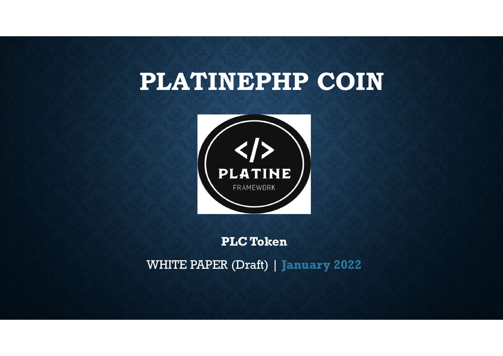## PLATINEPHP COIN



### PLC Token

WHITE PAPER (Draft) | January 2022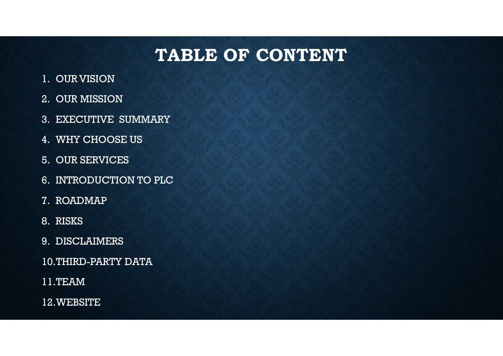## TABLE OF CONTENT TABLE OF<br>
1. OUR VISION<br>
2. OUR MISSION<br>
3. EXECUTIVE SUMMARY **TABLE OF**<br>
2. OUR MISSION<br>
2. OUR MISSION<br>
3. EXECUTIVE SUMMARY<br>
4. WHY CHOOSE US **TABLE OF CON**<br>
1. OUR VISION<br>
2. OUR MISSION<br>
3. EXECUTIVE SUMMARY<br>
4. WHY CHOOSE US<br>
5. OUR SERVICES **TABLE OF**<br>
1. OUR VISION<br>
2. OUR MISSION<br>
3. EXECUTIVE SUMMARY<br>
4. WHY CHOOSE US<br>
5. OUR SERVICES<br>
6. INTRODUCTION TO PLC **TABLE OF**<br>
1. OUR VISION<br>
2. OUR MISSION<br>
3. EXECUTIVE SUMMARY<br>
4. WHY CHOOSE US<br>
5. OUR SERVICES<br>
6. INTRODUCTION TO PLC<br>
7. ROADMAP **TABLE OF CONTI**<br>
1. OUR VISION<br>
2. OUR MISSION<br>
3. EXECUTIVE SUMMARY<br>
4. WHY CHOOSE US<br>
5. OUR SERVICES<br>
6. INTRODUCTION TO PLC<br>
7. ROADMAP **TABLE OF**<br>
1. OUR VISION<br>
2. OUR MISSION<br>
3. EXECUTIVE SUMMARY<br>
4. WHY CHOOSE US<br>
5. OUR SERVICES<br>
6. INTRODUCTION TO PLC<br>
7. ROADMAP<br>
8. RISKS<br>
9. DISCLAIMEPS

- 
- 
- 
- 
- 
- 1. OUR VISION<br>2. OUR MISSION<br>3. EXECUTIVE SUMMARY<br>4. WHY CHOOSE US<br>5. OUR SERVICES<br>6. INTRODUCTION TO PLC<br>7. ROADMAP<br>8. RISKS<br>9. DISCLAIMERS<br>10 THIRD-PARTY DATA 2. OUR MISSION<br>
3. EXECUTIVE SUMMARY<br>
4. WHY CHOOSE US<br>
5. OUR SERVICES<br>
6. INTRODUCTION TO PLC<br>
7. ROADMAP<br>
8. RISKS<br>
9. DISCLAIMERS<br>
10.THIRD-PARTY DATA<br>
11 TEAM
- 
- 
- 
- 10.THIRD-PARTY DATA
- 11.TEAM
- 12.WEBSITE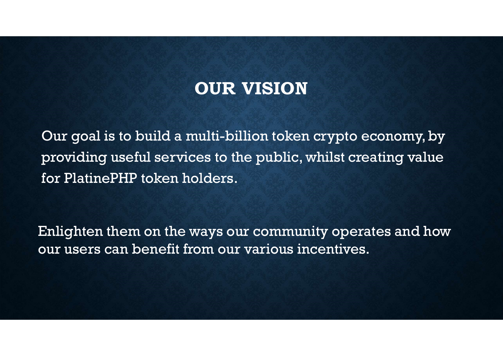## OUR VISION

Our goal is to build a multi-billion token crypto economy, by providing useful services to the public, whilst creating value for PlatinePHP token holders.

Enlighten them on the ways our community operates and how our users can benefit from our various incentives.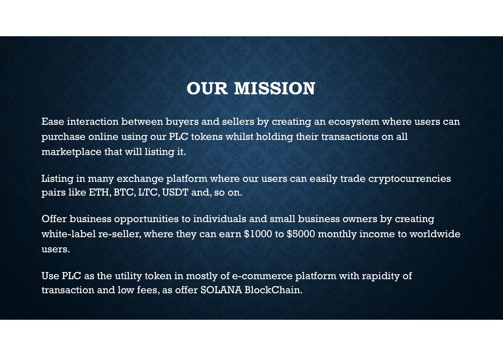## OUR MISSION

Ease interaction between buyers and sellers by creating an ecosystem where users can purchase online using our PLC tokens whilst holding their transactions on all marketplace that will listing it.

Listing in many exchange platform where our users can easily trade cryptocurrencies pairs like ETH, BTC, LTC, USDT and, so on.

Offer business opportunities to individuals and small business owners by creating white-label re-seller, where they can earn \$1000 to \$5000 monthly income to worldwide users.

Use PLC as the utility token in mostly of e-commerce platform with rapidity of transaction and low fees, as offer SOLANA BlockChain.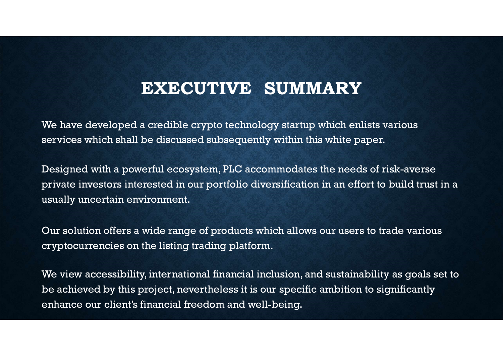## EXECUTIVE SUMMARY

We have developed a credible crypto technology startup which enlists various services which shall be discussed subsequently within this white paper.

Designed with a powerful ecosystem, PLC accommodates the needs of risk-averse private investors interested in our portfolio diversification in an effort to build trust in a usually uncertain environment.

Our solution offers a wide range of products which allows our users to trade various cryptocurrencies on the listing trading platform.

We view accessibility, international financial inclusion, and sustainability as goals set to be achieved by this project, nevertheless it is our specific ambition to significantly enhance our client's financial freedom and well-being.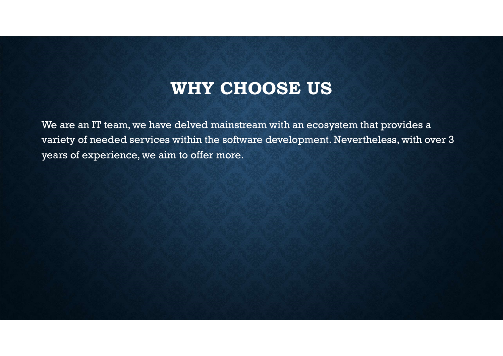WHY CHOOSE US<br>edived mainstream with an ecosystem that provides a We are an IT team, we have delved mainstream with an ecosystem that provides a variety of needed services within the software development. Nevertheless, with over 3 years of experience, we aim to offer more.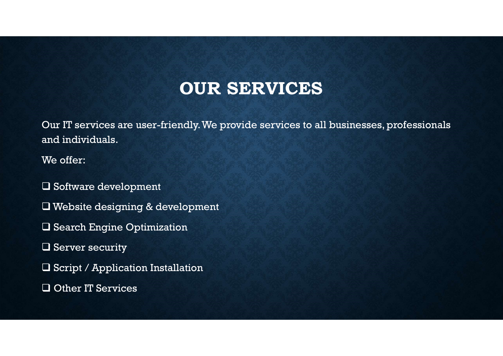## OUR SERVICES

Our IT services are user-friendly. We provide services to all businesses, professionals and individuals.

We offer:

**Q** Software development

Website designing & development

**Q** Search Engine Optimization

 $\Box$  Server security

Script / Application Installation

Other IT Services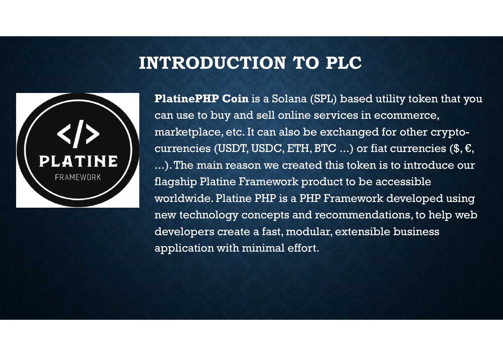## INTRODUCTION TO PLC



**ITRODUCTION TO PLC**<br>PlatinePHP Coin is a Solana (SPL) based utility token that you<br>can use to buy and sell online services in ecommerce,<br>marketplace, etc. It can also be exchanged for other cryptocan use to buy and sell online services in ecommerce, marketplace, etc. It can also be exchanged for other cryptocurrencies (USDT, USDC, ETH, BTC ...) or fiat currencies  $(\$, \$$ , ...). The main reason we created this token is to introduce our flagship Platine Framework product to be accessible worldwide. Platine PHP is a PHP Framework developed using new technology concepts and recommendations, to help web developers create a fast, modular, extensible business application with minimal effort.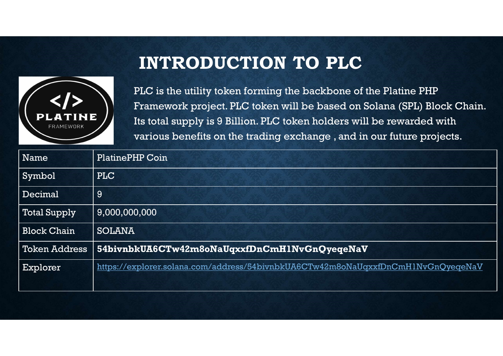## INTRODUCTION TO PLC



|                      | <b>INTRODUCTION TO PLC</b>                                                                                                                                                                                                                                                                     |  |  |
|----------------------|------------------------------------------------------------------------------------------------------------------------------------------------------------------------------------------------------------------------------------------------------------------------------------------------|--|--|
|                      |                                                                                                                                                                                                                                                                                                |  |  |
| FRAMEWORK            | PLC is the utility token forming the backbone of the Platine PHP<br>Framework project. PLC token will be based on Solana (SPL) Block Chain.<br>Its total supply is 9 Billion. PLC token holders will be rewarded with<br>various benefits on the trading exchange, and in our future projects. |  |  |
| Name                 | <b>PlatinePHP Coin</b>                                                                                                                                                                                                                                                                         |  |  |
| Symbol               | PLC                                                                                                                                                                                                                                                                                            |  |  |
| Decimal              | 9                                                                                                                                                                                                                                                                                              |  |  |
| Total Supply         | 9,000,000,000                                                                                                                                                                                                                                                                                  |  |  |
| <b>Block Chain</b>   | <b>SOLANA</b>                                                                                                                                                                                                                                                                                  |  |  |
| <b>Token Address</b> | 54bivnbkUA6CTw42m8oNaUqxxfDnCmHlNvGnQyeqeNaV                                                                                                                                                                                                                                                   |  |  |
| Explorer             | https://explorer.solana.com/address/54bivnbkUA6CTw42m8oNaUqxxfDnCmH1NvGnQyeqeNaV                                                                                                                                                                                                               |  |  |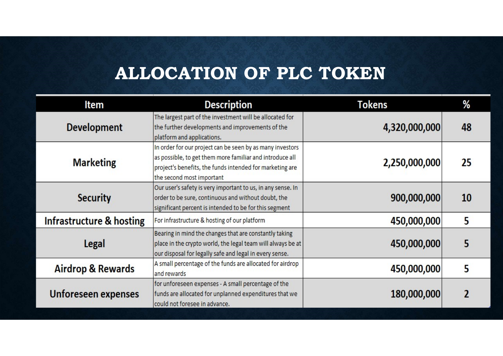## ALLOCATION OF PLC TOKEN

| Item                         | <b>Description</b>                                                                                                                                                                                             | <b>Tokens</b> | %  |
|------------------------------|----------------------------------------------------------------------------------------------------------------------------------------------------------------------------------------------------------------|---------------|----|
| <b>Development</b>           | The largest part of the investment will be allocated for<br>the further developments and improvements of the<br>platform and applications.                                                                     | 4,320,000,000 | 48 |
| <b>Marketing</b>             | In order for our project can be seen by as many investors<br>as possible, to get them more familiar and introduce all<br>project's benefits, the funds intended for marketing are<br>the second most important | 2,250,000,000 | 25 |
| <b>Security</b>              | Our user's safety is very important to us, in any sense. In<br>order to be sure, continuous and without doubt, the<br>significant percent is intended to be for this segment                                   | 900,000,000   | 10 |
| Infrastructure & hosting     | For infrastructure & hosting of our platform                                                                                                                                                                   | 450,000,000   | 5  |
| Legal                        | Bearing in mind the changes that are constantly taking<br>place in the crypto world, the legal team will always be at<br>our disposal for legally safe and legal in every sense.                               | 450,000,000   | 5  |
| <b>Airdrop &amp; Rewards</b> | A small percentage of the funds are allocated for airdrop<br>and rewards                                                                                                                                       | 450,000,000   | 5  |
| Unforeseen expenses          | for unforeseen expenses - A small percentage of the<br>funds are allocated for unplanned expenditures that we<br>could not foresee in advance.                                                                 | 180,000,000   |    |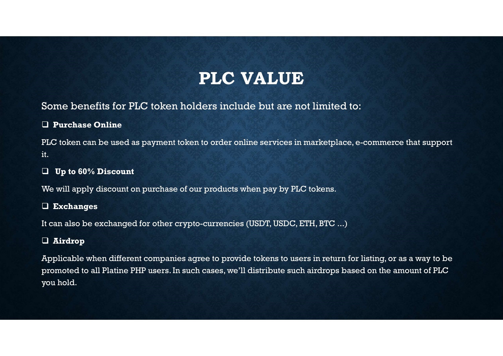## PLC VALUE

### Some benefits for PLC token holders include but are not limited to:

### Purchase Online

PLC token can be used as payment token to order online services in marketplace, e-commerce that support it.

### $\Box$  Up to 60% Discount

We will apply discount on purchase of our products when pay by PLC tokens.

### Exchanges

It can also be exchanged for other crypto-currencies (USDT, USDC, ETH, BTC ...)

### Airdrop

Applicable when different companies agree to provide tokens to users in return for listing, or as a way to be promoted to all Platine PHP users. In such cases, we'll distribute such airdrops based on the amount of PLC you hold.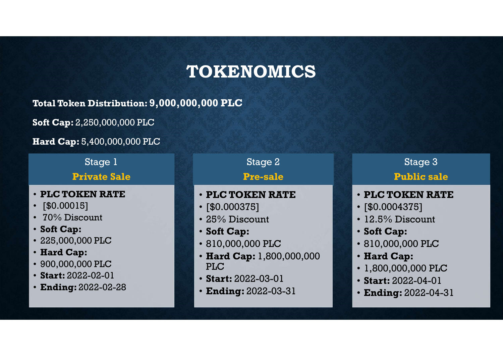# TOKENOMICS  $\begin{array}{lllllllllll} \textbf{OKENOMICS} & & & & & \\ \textbf{000 PLC} & & & & & \\ \textbf{Stage 2} & & & & & \\ \textbf{Stage 2} & & & & & \\ \textbf{Pre-sale} & & & & & \\ \textbf{·PLC TOKEN RATE} & & & & & \\ \textbf{·ELC TO} & & & & & \\ \textbf{·$80.000375]} & & & & \\ \textbf{·} & & & & & \\ \textbf{·} & & & & & \\ \textbf{·} & & & & & \\ \textbf{·} & & & & & \\ \textbf{·} & & & & & \\ \textbf{·} & & & & & \\ \textbf{·} & & &$  $\begin{array}{lllllllllllll} \textbf{OKENOMICS} & & & & & \\ \textbf{000 PLC} & & & & & & \\ \textbf{Stage 2} & & & & & & \\ \textbf{Stage 2} & & & & & & \\ \textbf{Pre-sale} & & & & & & \\ \textbf{PLC TOKEN RATE} & & & & & & \\ \textbf{FIC TO} & & & & & & \\ \textbf{12.5% Discount} & & & & & \\ \textbf{25% Discount} & & & & & & \\ \textbf{25% Discount} & & & & & & \\ \textbf{25% D} & & & & & & \\ \textbf{25% D} & & & & & & \\ \textbf{25% D} & & & &$

Total Token Distribution: 9,000,000,000 PLC **TOKE**<br>
Total Token Distribution: 9,000,000,000 PLC<br>
Soft Cap: 2,250,000,000 PLC<br>
Hard Cap: 5,400,000,000 PLC<br>
Firal Cap: 5,400,000,000 PLC<br>
Stage 1<br>
Private Sale<br>
• PLC TOKEN RATE<br>
• [\$0.00015]<br>
• 70% Discount<br>
• Soft Cap **TOKE**<br>
Total Token Distribution: 9,000,000,000 PLC<br>
Soft Cap: 2,250,000,000 PLC<br>
Hard Cap: 5,400,000,000 PLC<br>
Stage 1<br>
Private Sale<br>
• PLC TOKEN RATE<br>
• [\$0.00015]<br>
• 70% Discount<br>
• Soft Cap:<br>
• 225,000,000 PLC<br>
• Hard C Total Token Distribution: 9,000,000,000 PLC<br>
Soft Cap: 2,250,000,000 PLC<br>
Hard Cap: 5,400,000,000 PLC<br>
Frivate Sale<br>
• PLC TOKEN RATE<br>
• [\$0.00015]<br>
• 70% Discount<br>
• Soft Cap:<br>
• 225,000,000 PLC<br>
• Hard Cap:<br>
• 900,000,00

Soft Cap: 2,250,000,000 PLC 90,000,000 PLC<br>
• Fivate Sale<br>
• PLC TOKEN RATE<br>
• Fivate Sale<br>
• PLC TOKEN RATE<br>
• [\$0.00015]<br>
• 70% Discount<br>
• Soft Cap:<br>
• 225,000,000 PLC<br>
• Hard Cap:<br>
• 900,000,000 PLC<br>
• Hard Cap:<br>
• 900,000,000 PLC<br>
• Start: 2022

Hard Cap: 5,400,000,000 PLC

Stage 1

Private Sale

- PLC TOKEN RATE
- 
- 
- 
- 
- Hard Cap:
- 
- Start: 2022-02-01
- Ending: 2022-02-28

Stage 2

### Pre-sale

### • PLC TOKEN RATE

- 
- 
- 
- 
- (000 PLC<br>
Stage 2<br>
Pressale<br>
Pressale<br>
 PLC TOKEN RATE<br>
 [\$0.000375]<br>
 25% Discount<br>
 Soft Cap:<br>
 810,000,000 PLC<br>
 Hard Cap: 1,800,000,000<br>
 FLC<br>
 Soft Cap:<br>
 810,000,000 PLC<br>
 Hard Cap: 1,800,000,000<br>
 FLC<br>
 • Hard Cap: 1,800,000,000 PLC and the set of the set of the set of the set of the set of the set of the set of the set of the set of the
- Start: 2022-03-01
- Ending: 2022-03-31

Stage 3

### Public sale

- PLC TOKEN RATE Stage 3<br>
Public sale<br>
• PLC TOKEN RATE<br>
• [\$0.0004375]<br>
• 12.5% Discount<br>
• Soft Cap:<br>
• 810,000,000 PLC Stage 3<br> **Public sale<br>
• PLC TOKEN RATE**<br>
• [\$0.0004375]<br>
• 12.5% Discount<br>
• Soft Cap:<br>
• 810,000,000 PLC<br>
• Hard Cap: Stage 3<br>
Public sale<br>
• PLC TOKEN RATE<br>
• [\$0.0004375]<br>
• 12.5% Discount<br>
• Soft Cap:<br>
• 810,000,000 PLC<br>
• Hard Cap:<br>
• 1,800,000,000 PLC<br>
• Start: 2022-04-01 Stage 3<br> **Public sale**<br>
• **PLC TOKEN RATE**<br>
• [\$0.0004375]<br>
• 12.5% Discount<br>
• Soft Cap:<br>
• 810,000,000 PLC<br>
• **Hard Cap:**<br>
• 1,800,000,000 PLC<br>
• **Start:** 2022-04-01<br>
• **Ending:** 2022-04-31
- 
- 
- 
- 
- Hard Cap:
- 
- Start: 2022-04-01
- Ending: 2022-04-31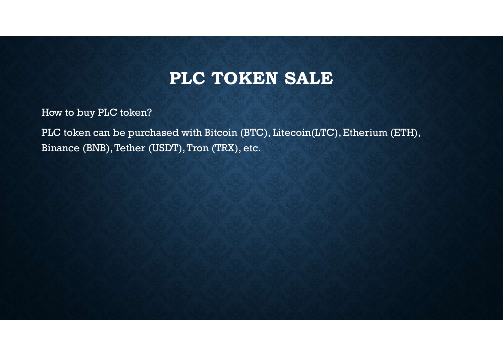## PLC TOKEN SALE

How to buy PLC token?

**PLC TOKEN SALE**<br>How to buy PLC token?<br>PLC token can be purchased with Bitcoin (BTC), Litecoin(LTC), Etherium (ETH),<br>Binance (BNB), Tether (USDT), Tron (TRX), etc. **PLC TOKEN**<br>Binance (BNB), Tether (USDT), Tron (TRX), etc.<br>Binance (BNB), Tether (USDT), Tron (TRX), etc.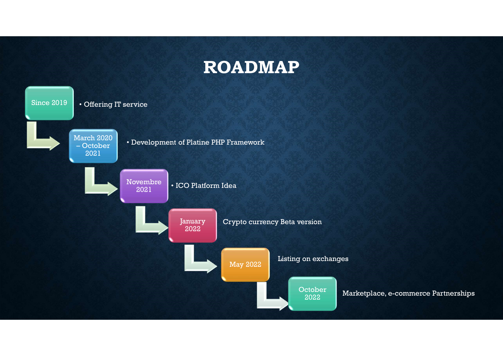## ROADMAP

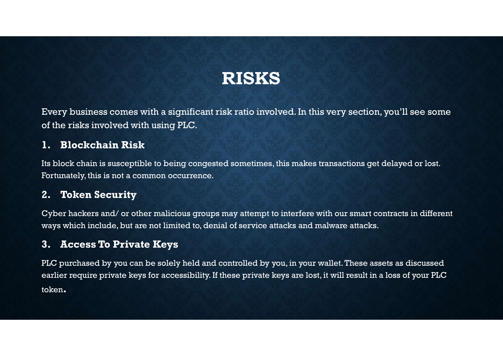## RISKS

Every business comes with a significant risk ratio involved. In this very section, you'll see some of the risks involved with using PLC. **1. Blockchain Risk and School School School School School School School School School School School School School School School School School School School School School School School School School School School School Sc Every business comes with a significant risk ratio**<br>2. Every business comes with a significant risk ratio<br>2. **Blockchain Risk**<br>Its block chain is susceptible to being congested sometifortunately, this is not a common occu

Its block chain is susceptible to being congested sometimes, this makes transactions get delayed or lost. Fortunately, this is not a common occurrence.

Cyber hackers and/ or other malicious groups may attempt to interfere with our smart contracts in different ways which include, but are not limited to, denial of service attacks and malware attacks.

Every business comes with a significant risk ratio invert of the risks involved with using PLC.<br> **1. Blockchain Risk**<br>
Its block chain is susceptible to being congested sometimes<br>
Fortunately, this is not a common occurren PLC purchased by you can be solely held and controlled by you, in your wallet. These assets as discussed earlier require private keys for accessibility. If these private keys are lost, it will result in a loss of your PLC token.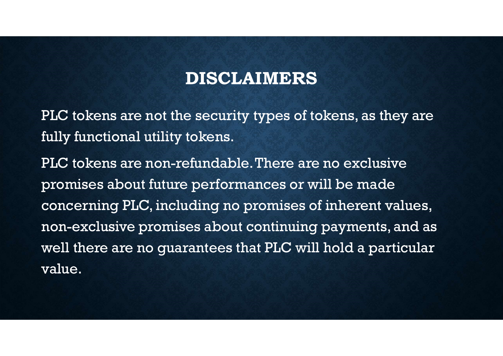### DISCLAIMERS

PLC tokens are not the security types of tokens, as they are fully functional utility tokens.

PLC tokens are non-refundable. There are no exclusive promises about future performances or will be made concerning PLC, including no promises of inherent values, non-exclusive promises about continuing payments, and as well there are no guarantees that PLC will hold a particular value.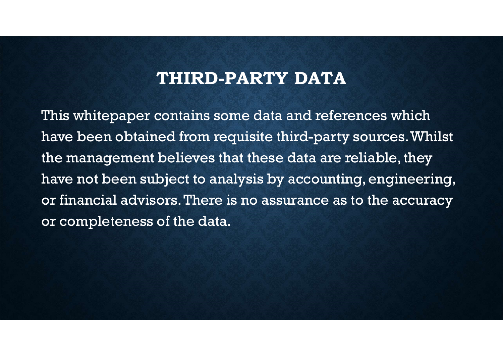### THIRD-PARTY DATA

This whitepaper contains some data and references which have been obtained from requisite third-party sources. Whilst the management believes that these data are reliable, they have not been subject to analysis by accounting, engineering, or financial advisors. There is no assurance as to the accuracy or completeness of the data.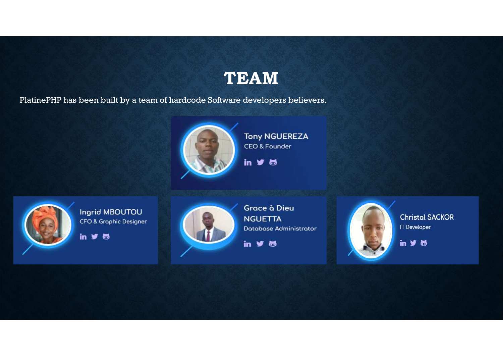### TEAM

TEAM<br>PlatinePHP has been built by a team of hardcode Software developers believers.





Ingrid MBOUTOU CFO & Graphic Designer

in  $y =$ 



Grace à Dieu **NGUETTA** Database Administrator

in  $96$ 



**Christal SACKOR** IT Developer

 $in 96$